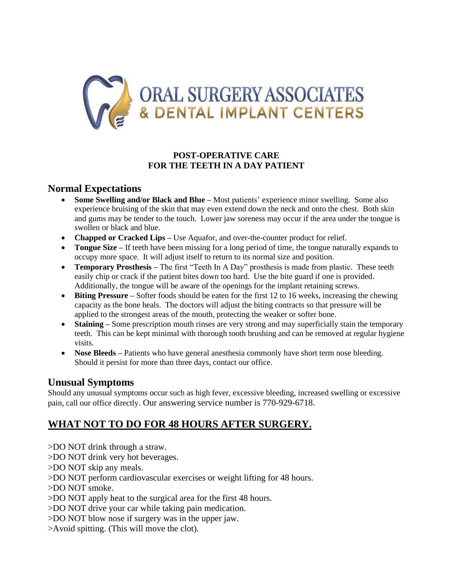

#### **POST-OPERATIVE CARE FOR THE TEETH IN A DAY PATIENT**

#### **Normal Expectations**

- **Some Swelling and/or Black and Blue –** Most patients' experience minor swelling. Some also experience bruising of the skin that may even extend down the neck and onto the chest. Both skin and gums may be tender to the touch. Lower jaw soreness may occur if the area under the tongue is swollen or black and blue.
- **Chapped or Cracked Lips** Use Aquafor, and over-the-counter product for relief.
- **Tongue Size** If teeth have been missing for a long period of time, the tongue naturally expands to occupy more space. It will adjust itself to return to its normal size and position.
- **Temporary Prosthesis** The first "Teeth In A Day" prosthesis is made from plastic. These teeth easily chip or crack if the patient bites down too hard. Use the bite guard if one is provided. Additionally, the tongue will be aware of the openings for the implant retaining screws.
- **Biting Pressure** Softer foods should be eaten for the first 12 to 16 weeks, increasing the chewing capacity as the bone heals. The doctors will adjust the biting contracts so that pressure will be applied to the strongest areas of the mouth, protecting the weaker or softer bone.
- **Staining** Some prescription mouth rinses are very strong and may superficially stain the temporary teeth. This can be kept minimal with thorough tooth brushing and can be removed at regular hygiene visits.
- **Nose Bleeds** Patients who have general anesthesia commonly have short term nose bleeding. Should it persist for more than three days, contact our office.

#### **Unusual Symptoms**

Should any unusual symptoms occur such as high fever, excessive bleeding, increased swelling or excessive pain, call our office directly. Our answering service number is 770-929-6718.

# **WHAT NOT TO DO FOR 48 HOURS AFTER SURGERY.**

- >DO NOT drink through a straw.
- >DO NOT drink very hot beverages.
- >DO NOT skip any meals.
- >DO NOT perform cardiovascular exercises or weight lifting for 48 hours.
- >DO NOT smoke.
- >DO NOT apply heat to the surgical area for the first 48 hours.
- >DO NOT drive your car while taking pain medication.
- >DO NOT blow nose if surgery was in the upper jaw.
- >Avoid spitting. (This will move the clot).